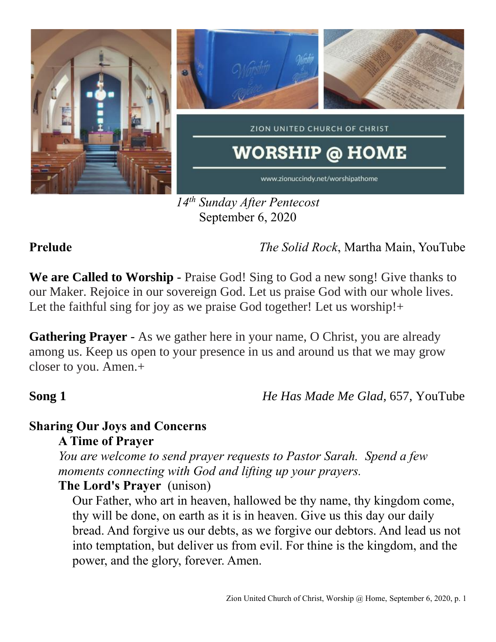

*14th Sunday After Pentecost* September 6, 2020

**Prelude** *The Solid Rock*, Martha Main, YouTube

**We are Called to Worship** - Praise God! Sing to God a new song! Give thanks to our Maker. Rejoice in our sovereign God. Let us praise God with our whole lives. Let the faithful sing for joy as we praise God together! Let us worship!+

**Gathering Prayer** - As we gather here in your name, O Christ, you are already among us. Keep us open to your presence in us and around us that we may grow closer to you. Amen.+

**Song 1** *He Has Made Me Glad,* 657, YouTube

### **Sharing Our Joys and Concerns A Time of Prayer**

*You are welcome to send prayer requests to Pastor Sarah. Spend a few moments connecting with God and lifting up your prayers.*

## **The Lord's Prayer** (unison)

Our Father, who art in heaven, hallowed be thy name, thy kingdom come, thy will be done, on earth as it is in heaven. Give us this day our daily bread. And forgive us our debts, as we forgive our debtors. And lead us not into temptation, but deliver us from evil. For thine is the kingdom, and the power, and the glory, forever. Amen.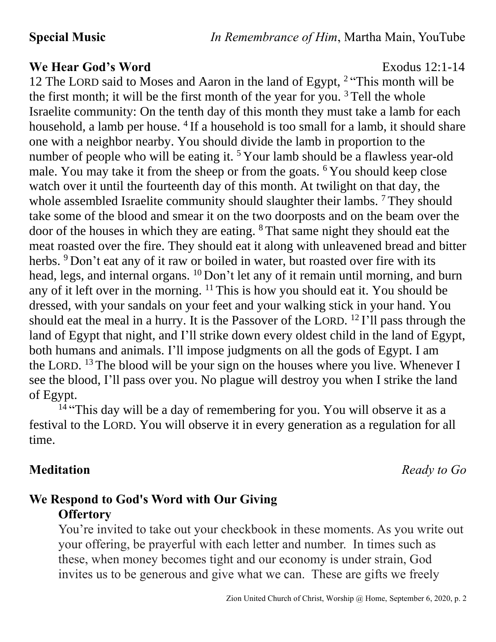### **We Hear God's Word** Exodus 12:1-14

12 The LORD said to Moses and Aaron in the land of Egypt, <sup>2</sup> "This month will be the first month; it will be the first month of the year for you.<sup>3</sup> Tell the whole Israelite community: On the tenth day of this month they must take a lamb for each household, a lamb per house. <sup>4</sup> If a household is too small for a lamb, it should share one with a neighbor nearby. You should divide the lamb in proportion to the number of people who will be eating it.<sup>5</sup> Your lamb should be a flawless year-old male. You may take it from the sheep or from the goats. <sup>6</sup> You should keep close watch over it until the fourteenth day of this month. At twilight on that day, the whole assembled Israelite community should slaughter their lambs. <sup>7</sup> They should take some of the blood and smear it on the two doorposts and on the beam over the door of the houses in which they are eating. <sup>8</sup> That same night they should eat the meat roasted over the fire. They should eat it along with unleavened bread and bitter herbs. <sup>9</sup> Don't eat any of it raw or boiled in water, but roasted over fire with its head, legs, and internal organs. <sup>10</sup> Don't let any of it remain until morning, and burn any of it left over in the morning.  $11$  This is how you should eat it. You should be dressed, with your sandals on your feet and your walking stick in your hand. You should eat the meal in a hurry. It is the Passover of the LORD.  $^{12}$  I'll pass through the land of Egypt that night, and I'll strike down every oldest child in the land of Egypt, both humans and animals. I'll impose judgments on all the gods of Egypt. I am the LORD. <sup>13</sup> The blood will be your sign on the houses where you live. Whenever I see the blood, I'll pass over you. No plague will destroy you when I strike the land of Egypt.

<sup>14</sup> "This day will be a day of remembering for you. You will observe it as a festival to the LORD. You will observe it in every generation as a regulation for all time.

**Meditation** *Ready to Go*

# **We Respond to God's Word with Our Giving Offertory**

You're invited to take out your checkbook in these moments. As you write out your offering, be prayerful with each letter and number. In times such as these, when money becomes tight and our economy is under strain, God invites us to be generous and give what we can. These are gifts we freely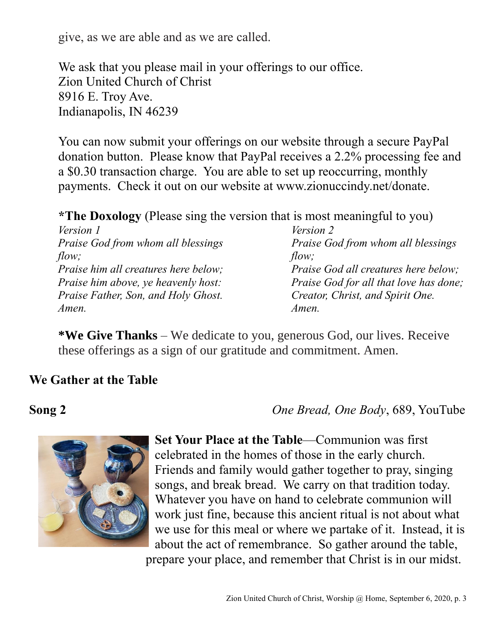give, as we are able and as we are called.

We ask that you please mail in your offerings to our office. Zion United Church of Christ 8916 E. Troy Ave. Indianapolis, IN 46239

You can now submit your offerings on our website through a secure PayPal donation button. Please know that PayPal receives a 2.2% processing fee and a \$0.30 transaction charge. You are able to set up reoccurring, monthly payments. Check it out on our website at www.zionuccindy.net/donate.

**\*The Doxology** (Please sing the version that is most meaningful to you)

| Version 1                                   | <i>Version 2</i>                       |
|---------------------------------------------|----------------------------------------|
| Praise God from whom all blessings          | Praise God from whom all blessings     |
| flow;                                       | flow;                                  |
| <i>Praise him all creatures here below;</i> | Praise God all creatures here below;   |
| Praise him above, ye heavenly host:         | Praise God for all that love has done; |
| Praise Father, Son, and Holy Ghost.         | Creator, Christ, and Spirit One.       |
| Amen.                                       | Amen.                                  |

**\*We Give Thanks** – We dedicate to you, generous God, our lives. Receive these offerings as a sign of our gratitude and commitment. Amen.

### **We Gather at the Table**

**Song 2** *One Bread, One Body*, 689, YouTube



**Set Your Place at the Table**—Communion was first celebrated in the homes of those in the early church. Friends and family would gather together to pray, singing songs, and break bread. We carry on that tradition today. Whatever you have on hand to celebrate communion will work just fine, because this ancient ritual is not about what we use for this meal or where we partake of it. Instead, it is about the act of remembrance. So gather around the table, prepare your place, and remember that Christ is in our midst.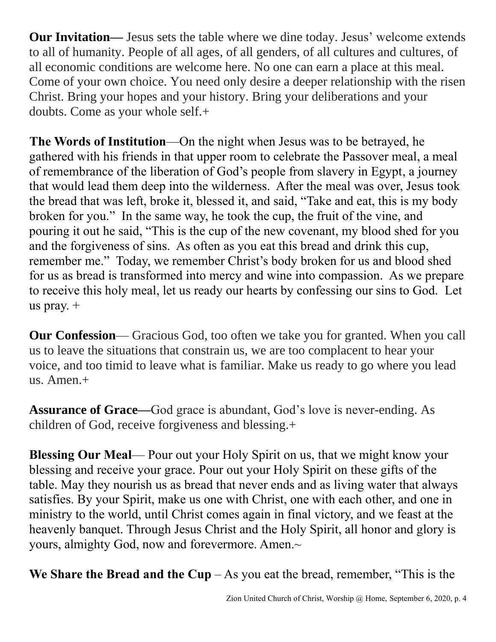**Our Invitation—** Jesus sets the table where we dine today. Jesus' welcome extends to all of humanity. People of all ages, of all genders, of all cultures and cultures, of all economic conditions are welcome here. No one can earn a place at this meal. Come of your own choice. You need only desire a deeper relationship with the risen Christ. Bring your hopes and your history. Bring your deliberations and your doubts. Come as your whole self.+

**The Words of Institution**—On the night when Jesus was to be betrayed, he gathered with his friends in that upper room to celebrate the Passover meal, a meal of remembrance of the liberation of God's people from slavery in Egypt, a journey that would lead them deep into the wilderness. After the meal was over, Jesus took the bread that was left, broke it, blessed it, and said, "Take and eat, this is my body broken for you." In the same way, he took the cup, the fruit of the vine, and pouring it out he said, "This is the cup of the new covenant, my blood shed for you and the forgiveness of sins. As often as you eat this bread and drink this cup, remember me." Today, we remember Christ's body broken for us and blood shed for us as bread is transformed into mercy and wine into compassion. As we prepare to receive this holy meal, let us ready our hearts by confessing our sins to God. Let us pray. +

**Our Confession**— Gracious God, too often we take you for granted. When you call us to leave the situations that constrain us, we are too complacent to hear your voice, and too timid to leave what is familiar. Make us ready to go where you lead us. Amen.+

**Assurance of Grace—**God grace is abundant, God's love is never-ending. As children of God, receive forgiveness and blessing.+

**Blessing Our Meal**— Pour out your Holy Spirit on us, that we might know your blessing and receive your grace. Pour out your Holy Spirit on these gifts of the table. May they nourish us as bread that never ends and as living water that always satisfies. By your Spirit, make us one with Christ, one with each other, and one in ministry to the world, until Christ comes again in final victory, and we feast at the heavenly banquet. Through Jesus Christ and the Holy Spirit, all honor and glory is yours, almighty God, now and forevermore. Amen.~

We Share the Bread and the Cup  $-$  As you eat the bread, remember, "This is the